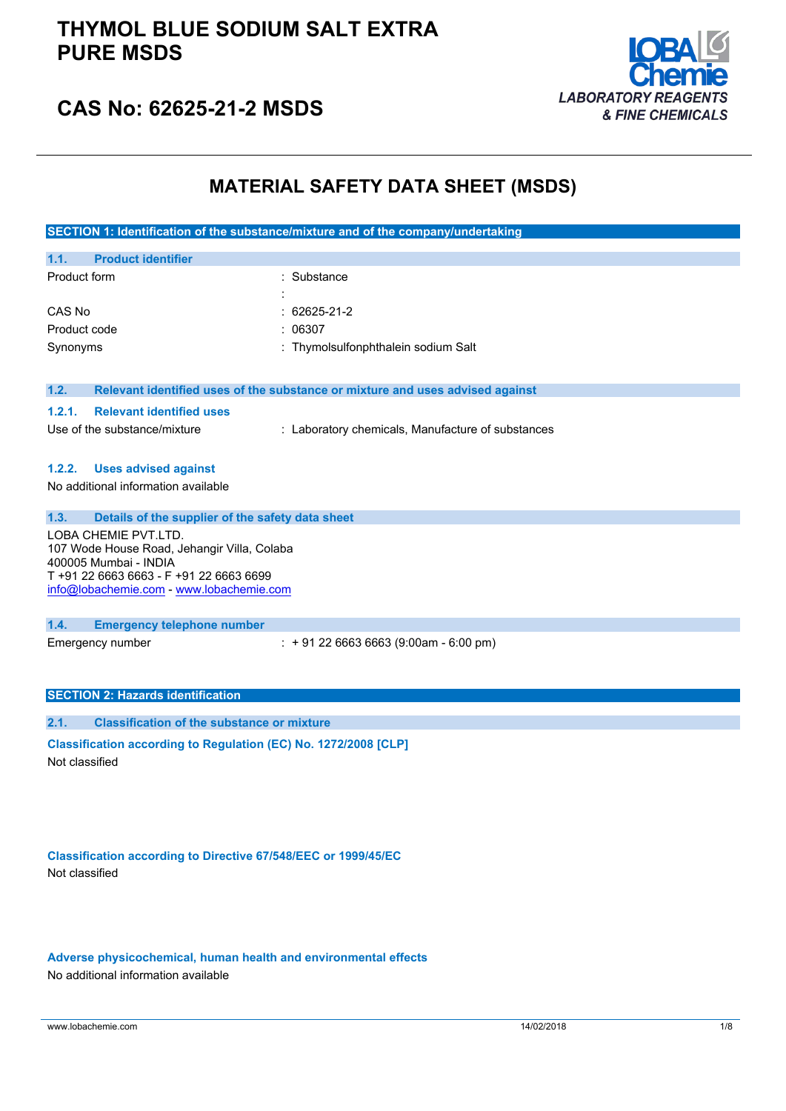## **THYMOL BLUE SODIUM SALT EXTRA PURE MSDS**



# **CAS No: 62625-21-2 MSDS**

### **MATERIAL SAFETY DATA SHEET (MSDS)**

**SECTION 1: Identification of the substance/mixture and of the company/undertaking**

| 1.1.<br><b>Product identifier</b> |                                     |
|-----------------------------------|-------------------------------------|
| Product form                      | : Substance                         |
|                                   | ٠                                   |
| CAS No                            | $: 62625 - 21 - 2$                  |
| Product code                      | : 06307                             |
| Synonyms                          | : Thymolsulfonphthalein sodium Salt |

### **1.2. Relevant identified uses of the substance or mixture and uses advised against**

### **1.2.1. Relevant identified uses**

Use of the substance/mixture : Laboratory chemicals, Manufacture of substances

### **1.2.2. Uses advised against**

No additional information available

**1.3. Details of the supplier of the safety data sheet**

LOBA CHEMIE PVT.LTD. 107 Wode House Road, Jehangir Villa, Colaba 400005 Mumbai - INDIA T +91 22 6663 6663 - F +91 22 6663 6699 [info@lobachemie.com](mailto:info@lobachemie.com) - <www.lobachemie.com>

#### **1.4. Emergency telephone number**

Emergency number : + 91 22 6663 6663 (9:00am - 6:00 pm)

### **SECTION 2: Hazards identification**

**2.1. Classification of the substance or mixture Classification according to Regulation (EC) No. 1272/2008 [CLP]** Not classified

**Classification according to Directive 67/548/EEC or 1999/45/EC** Not classified

**Adverse physicochemical, human health and environmental effects** No additional information available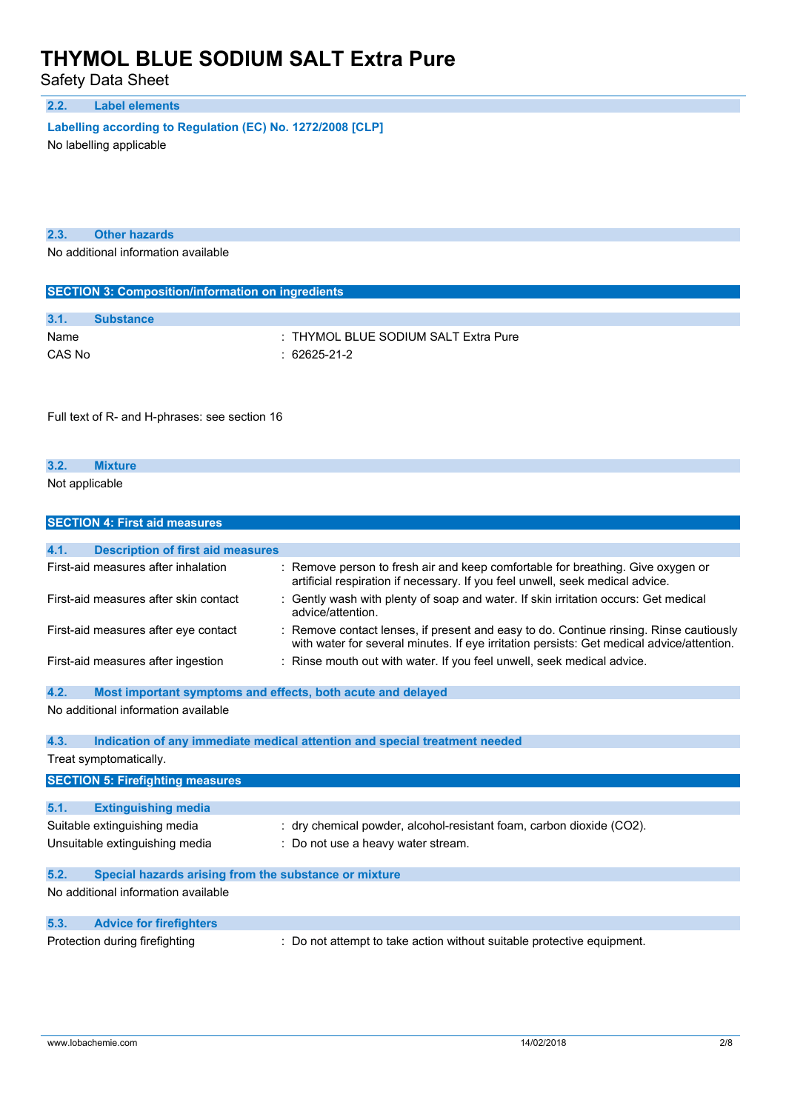Safety Data Sheet

### **2.2. Label elements**

**Labelling according to** Regulation (EC) No. 1272/2008 [CLP]

No labelling applicable

| 2.3. | <b>Other hazards</b> |  |
|------|----------------------|--|
|      |                      |  |

No additional information available

| <b>SECTION 3: Composition/information on ingredients</b> |                  |                                      |  |  |
|----------------------------------------------------------|------------------|--------------------------------------|--|--|
|                                                          |                  |                                      |  |  |
| 3.1.                                                     | <b>Substance</b> |                                      |  |  |
| Name                                                     |                  | : THYMOL BLUE SODIUM SALT Extra Pure |  |  |
| CAS No                                                   |                  | $: 62625-21-2$                       |  |  |

Full text of R- and H-phrases: see section 16

| 3.2.           |  |  |  |
|----------------|--|--|--|
| Not applicable |  |  |  |

|      | <b>SECTION 4: First aid measures</b>                        |                                                                                                                                                                                   |
|------|-------------------------------------------------------------|-----------------------------------------------------------------------------------------------------------------------------------------------------------------------------------|
|      |                                                             |                                                                                                                                                                                   |
| 4.1. | <b>Description of first aid measures</b>                    |                                                                                                                                                                                   |
|      | First-aid measures after inhalation                         | Remove person to fresh air and keep comfortable for breathing. Give oxygen or<br>artificial respiration if necessary. If you feel unwell, seek medical advice.                    |
|      | First-aid measures after skin contact                       | Gently wash with plenty of soap and water. If skin irritation occurs: Get medical<br>advice/attention.                                                                            |
|      | First-aid measures after eye contact                        | Remove contact lenses, if present and easy to do. Continue rinsing. Rinse cautiously<br>with water for several minutes. If eye irritation persists: Get medical advice/attention. |
|      | First-aid measures after ingestion                          | Rinse mouth out with water. If you feel unwell, seek medical advice.                                                                                                              |
| 4.2. | Most important symptoms and effects, both acute and delayed |                                                                                                                                                                                   |
|      | No additional information available                         |                                                                                                                                                                                   |
| 4.3. |                                                             | Indication of any immediate medical attention and special treatment needed                                                                                                        |
|      | Treat symptomatically.                                      |                                                                                                                                                                                   |
|      | <b>SECTION 5: Firefighting measures</b>                     |                                                                                                                                                                                   |
|      |                                                             |                                                                                                                                                                                   |
| 5.1. | <b>Extinguishing media</b>                                  |                                                                                                                                                                                   |
|      | Suitable extinguishing media                                | : dry chemical powder, alcohol-resistant foam, carbon dioxide (CO2).                                                                                                              |
|      | Unsuitable extinguishing media                              | Do not use a heavy water stream.                                                                                                                                                  |
| 5.2. | Special hazards arising from the substance or mixture       |                                                                                                                                                                                   |
|      | No additional information available                         |                                                                                                                                                                                   |
| 5.3. | <b>Advice for firefighters</b>                              |                                                                                                                                                                                   |
|      | Protection during firefighting                              | Do not attempt to take action without suitable protective equipment.                                                                                                              |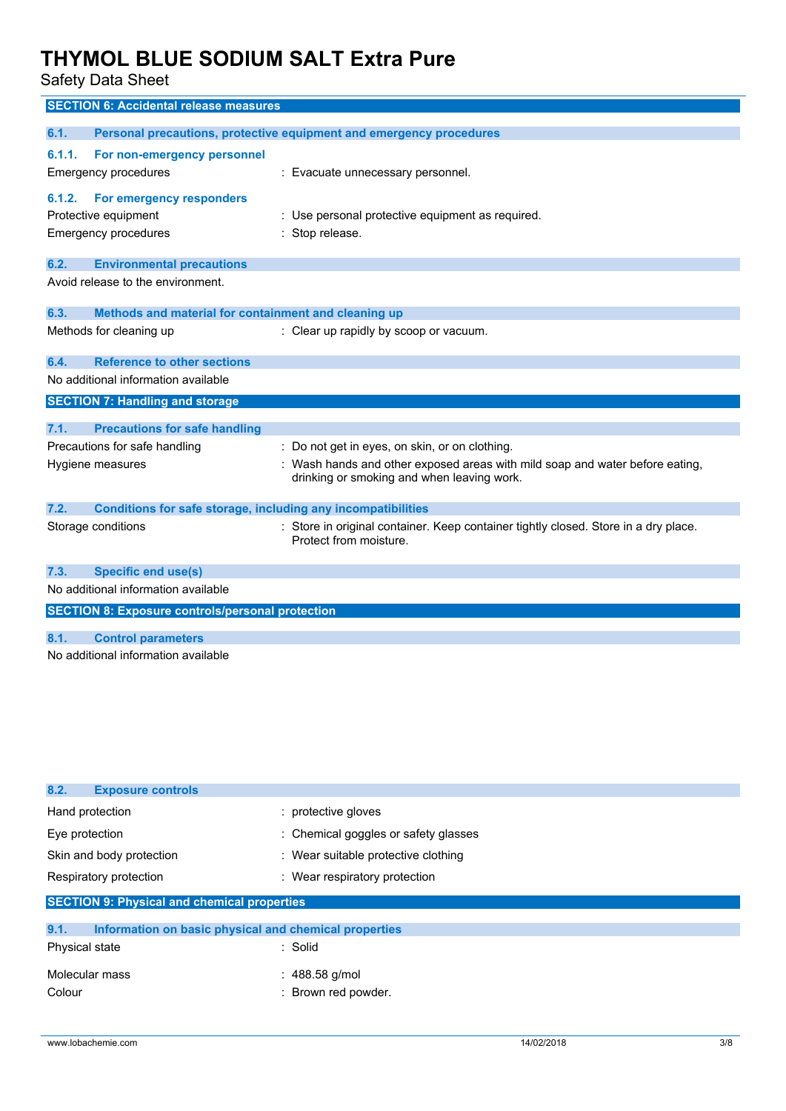Safety Data Sheet

|        | <b>SECTION 6: Accidental release measures</b>                                   |                                                                                                                            |
|--------|---------------------------------------------------------------------------------|----------------------------------------------------------------------------------------------------------------------------|
| 6.1.   |                                                                                 | Personal precautions, protective equipment and emergency procedures                                                        |
| 6.1.1. | For non-emergency personnel<br>Emergency procedures                             | : Evacuate unnecessary personnel.                                                                                          |
| 6.1.2. | For emergency responders<br>Protective equipment<br><b>Emergency procedures</b> | Use personal protective equipment as required.<br>Stop release.                                                            |
| 6.2.   | <b>Environmental precautions</b>                                                |                                                                                                                            |
|        | Avoid release to the environment.                                               |                                                                                                                            |
| 6.3.   | Methods and material for containment and cleaning up                            |                                                                                                                            |
|        | Methods for cleaning up                                                         | : Clear up rapidly by scoop or vacuum.                                                                                     |
| 6.4.   | <b>Reference to other sections</b>                                              |                                                                                                                            |
|        | No additional information available                                             |                                                                                                                            |
|        | <b>SECTION 7: Handling and storage</b>                                          |                                                                                                                            |
| 7.1.   | <b>Precautions for safe handling</b>                                            |                                                                                                                            |
|        | Precautions for safe handling                                                   | : Do not get in eyes, on skin, or on clothing.                                                                             |
|        | Hygiene measures                                                                | : Wash hands and other exposed areas with mild soap and water before eating,<br>drinking or smoking and when leaving work. |
| 7.2.   | <b>Conditions for safe storage, including any incompatibilities</b>             |                                                                                                                            |
|        | Storage conditions                                                              | : Store in original container. Keep container tightly closed. Store in a dry place.<br>Protect from moisture.              |
| 7.3.   | <b>Specific end use(s)</b>                                                      |                                                                                                                            |
|        | No additional information available                                             |                                                                                                                            |
|        | <b>SECTION 8: Exposure controls/personal protection</b>                         |                                                                                                                            |
| 8.1.   | <b>Control parameters</b>                                                       |                                                                                                                            |
|        | No additional information available                                             |                                                                                                                            |

| 8.2.<br><b>Exposure controls</b>                              |                                      |
|---------------------------------------------------------------|--------------------------------------|
| Hand protection                                               | : protective gloves                  |
| Eye protection                                                | : Chemical goggles or safety glasses |
| Skin and body protection                                      | : Wear suitable protective clothing  |
| Respiratory protection                                        | : Wear respiratory protection        |
| <b>SECTION 9: Physical and chemical properties</b>            |                                      |
| 9.1.<br>Information on basic physical and chemical properties |                                      |
| Physical state                                                | : Solid                              |

| Molecular mass | $: 488.58$ g/mol    |
|----------------|---------------------|
| Colour         | : Brown red powder. |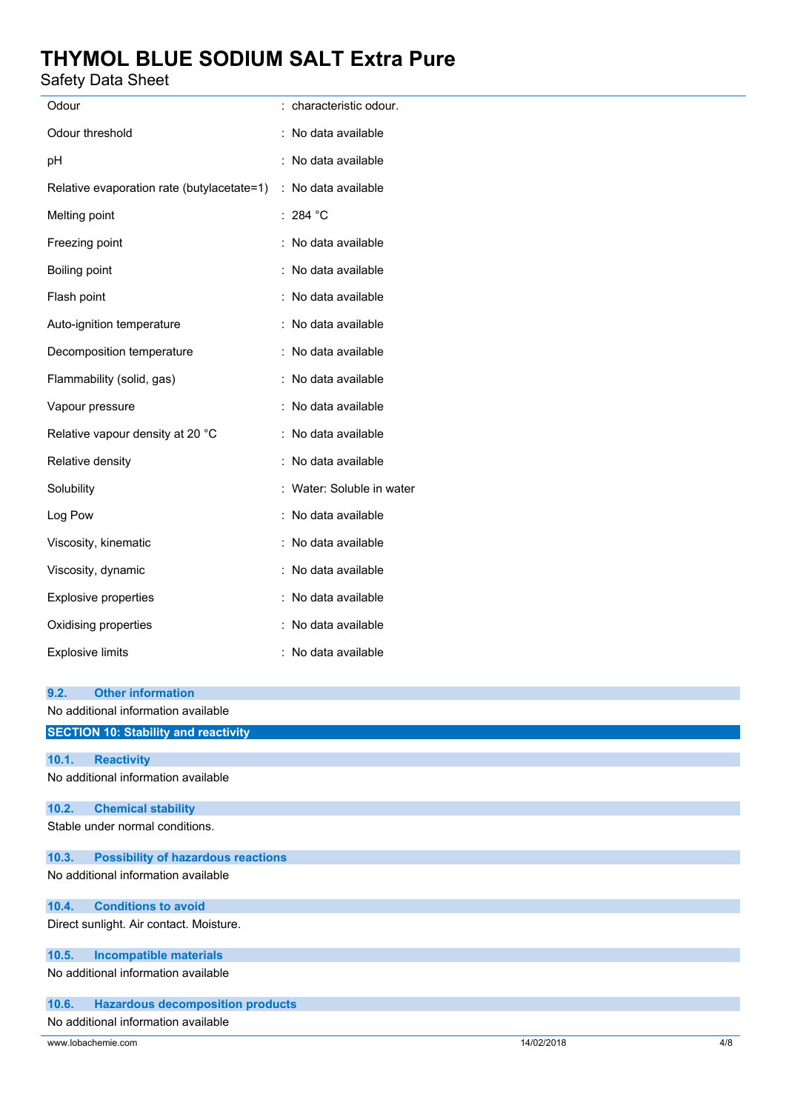Safety Data Sheet

| Salely Dala Sileel                                 |                           |  |  |
|----------------------------------------------------|---------------------------|--|--|
| Odour                                              | : characteristic odour.   |  |  |
| Odour threshold                                    | : No data available       |  |  |
| pН                                                 | : No data available       |  |  |
| Relative evaporation rate (butylacetate=1)         | : No data available       |  |  |
| Melting point                                      | : 284 °C                  |  |  |
| Freezing point                                     | : No data available       |  |  |
| Boiling point                                      | : No data available       |  |  |
| Flash point                                        | : No data available       |  |  |
| Auto-ignition temperature                          | : No data available       |  |  |
| Decomposition temperature                          | : No data available       |  |  |
| Flammability (solid, gas)                          | : No data available       |  |  |
| Vapour pressure                                    | : No data available       |  |  |
| Relative vapour density at 20 °C                   | : No data available       |  |  |
| Relative density                                   | : No data available       |  |  |
| Solubility                                         | : Water: Soluble in water |  |  |
| Log Pow                                            | : No data available       |  |  |
| Viscosity, kinematic                               | : No data available       |  |  |
| Viscosity, dynamic                                 | No data available         |  |  |
| Explosive properties                               | : No data available       |  |  |
| Oxidising properties                               | : No data available       |  |  |
| <b>Explosive limits</b>                            | No data available         |  |  |
| <b>Other information</b><br>9.2.                   |                           |  |  |
| No additional information available                |                           |  |  |
| <b>SECTION 10: Stability and reactivity</b>        |                           |  |  |
| 10.1.<br><b>Reactivity</b>                         |                           |  |  |
| No additional information available                |                           |  |  |
| 10.2.<br><b>Chemical stability</b>                 |                           |  |  |
| Stable under normal conditions.                    |                           |  |  |
| 10.3.<br><b>Possibility of hazardous reactions</b> |                           |  |  |
| No additional information available                |                           |  |  |
| <b>Conditions to avoid</b><br>10.4.                |                           |  |  |
| Direct sunlight. Air contact. Moisture.            |                           |  |  |
| 10.5.<br><b>Incompatible materials</b>             |                           |  |  |
| No additional information available                |                           |  |  |
| 10.6.<br><b>Hazardous decomposition products</b>   |                           |  |  |

No additional information available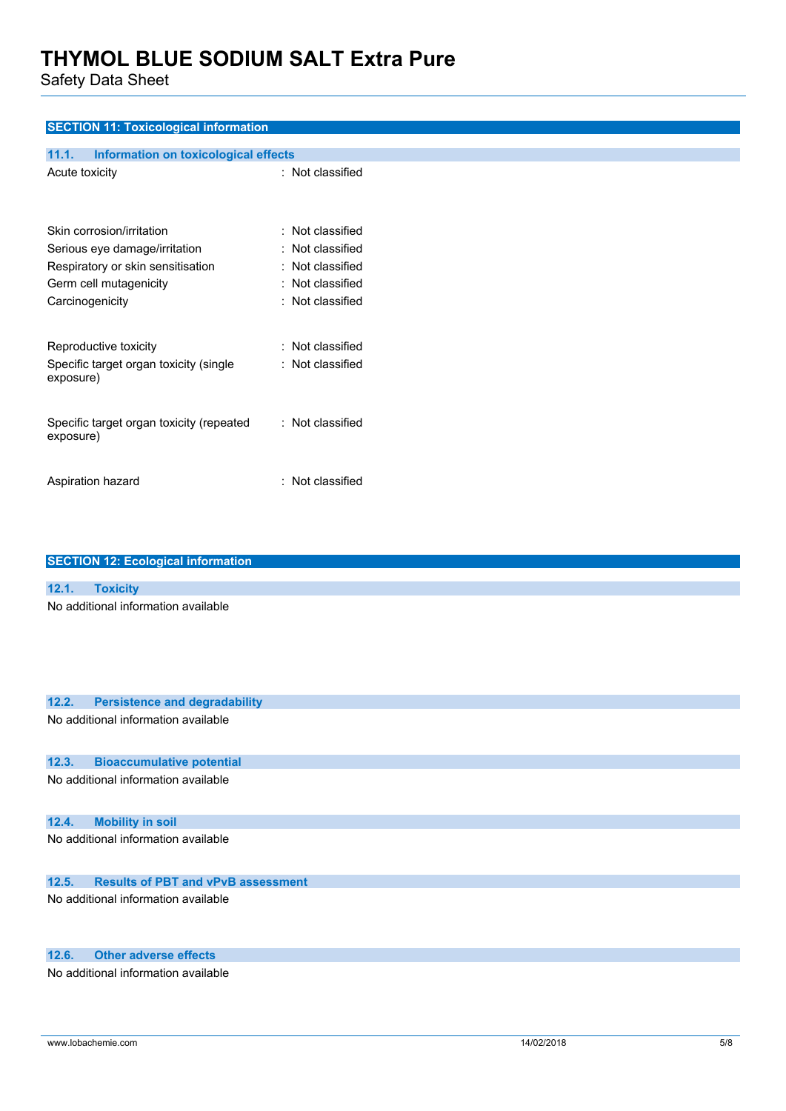Safety Data Sheet

| <b>SECTION 11: Toxicological information</b>         |                  |
|------------------------------------------------------|------------------|
|                                                      |                  |
| 11.1.<br><b>Information on toxicological effects</b> |                  |
| Acute toxicity                                       | : Not classified |
|                                                      |                  |
|                                                      |                  |
| Skin corrosion/irritation                            | : Not classified |
| Serious eye damage/irritation                        | : Not classified |
| Respiratory or skin sensitisation                    | : Not classified |
| Germ cell mutagenicity                               | : Not classified |
| Carcinogenicity                                      | : Not classified |
|                                                      |                  |
| Reproductive toxicity                                | : Not classified |
| Specific target organ toxicity (single               | : Not classified |
| exposure)                                            |                  |
|                                                      |                  |
| Specific target organ toxicity (repeated             | : Not classified |
| exposure)                                            |                  |
|                                                      |                  |
|                                                      |                  |
| Aspiration hazard                                    | : Not classified |

| <b>SECTION 12: Ecological information</b>          |
|----------------------------------------------------|
|                                                    |
| 12.1.<br><b>Toxicity</b>                           |
| No additional information available                |
| 12.2.<br><b>Persistence and degradability</b>      |
| No additional information available                |
| <b>Bioaccumulative potential</b><br>12.3.          |
| No additional information available                |
| 12.4.<br><b>Mobility in soil</b>                   |
| No additional information available                |
| <b>Results of PBT and vPvB assessment</b><br>12.5. |

No additional information available

### **12.6. Other adverse effects**

No additional information available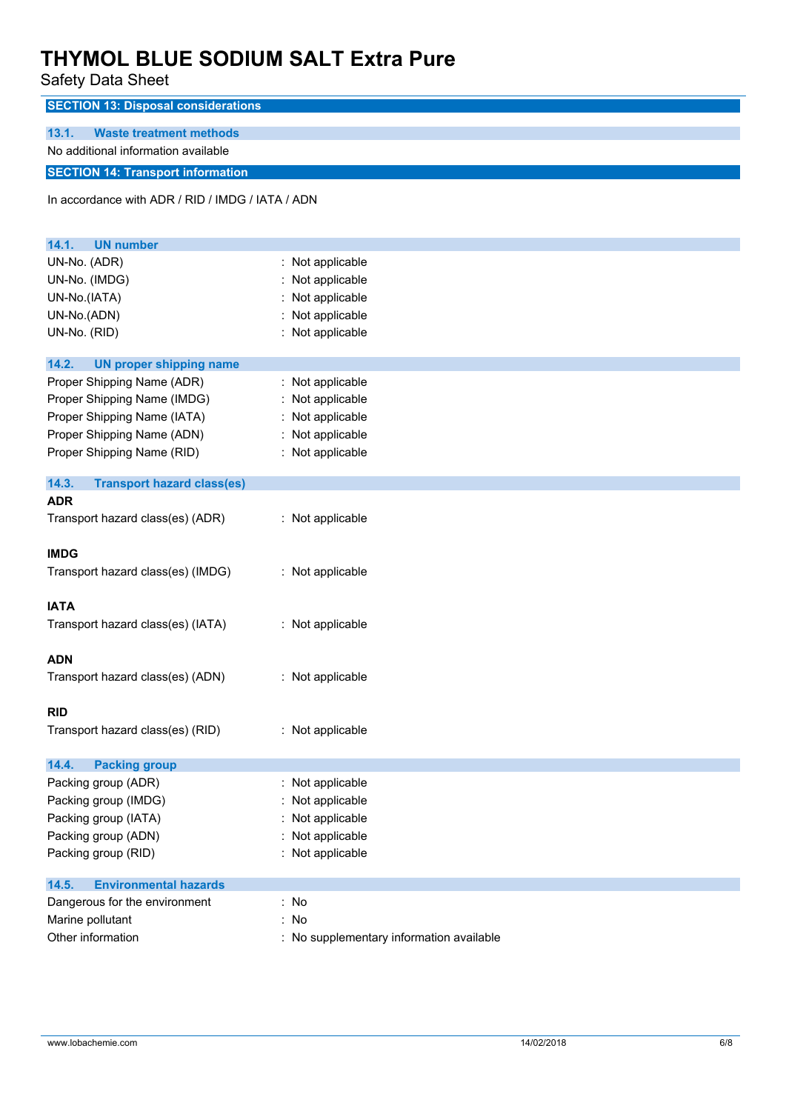Safety Data Sheet

| In accordance with ADR / RID / IMDG / IATA / ADN |
|--------------------------------------------------|
|                                                  |
|                                                  |
| : Not applicable                                 |
| : Not applicable                                 |
| Not applicable                                   |
| : Not applicable                                 |
| : Not applicable                                 |
|                                                  |
|                                                  |
| : Not applicable<br>: Not applicable             |
| Not applicable                                   |
| : Not applicable                                 |
| : Not applicable                                 |
|                                                  |
|                                                  |
|                                                  |
| : Not applicable                                 |
|                                                  |
|                                                  |
| : Not applicable                                 |
|                                                  |
|                                                  |
| : Not applicable                                 |
|                                                  |
| : Not applicable                                 |
|                                                  |
|                                                  |
| : Not applicable                                 |
|                                                  |
|                                                  |
| : Not applicable                                 |
| Not applicable                                   |
| : Not applicable                                 |
| Not applicable                                   |
| : Not applicable                                 |
|                                                  |
| : No                                             |
| : No                                             |
| : No supplementary information available         |
|                                                  |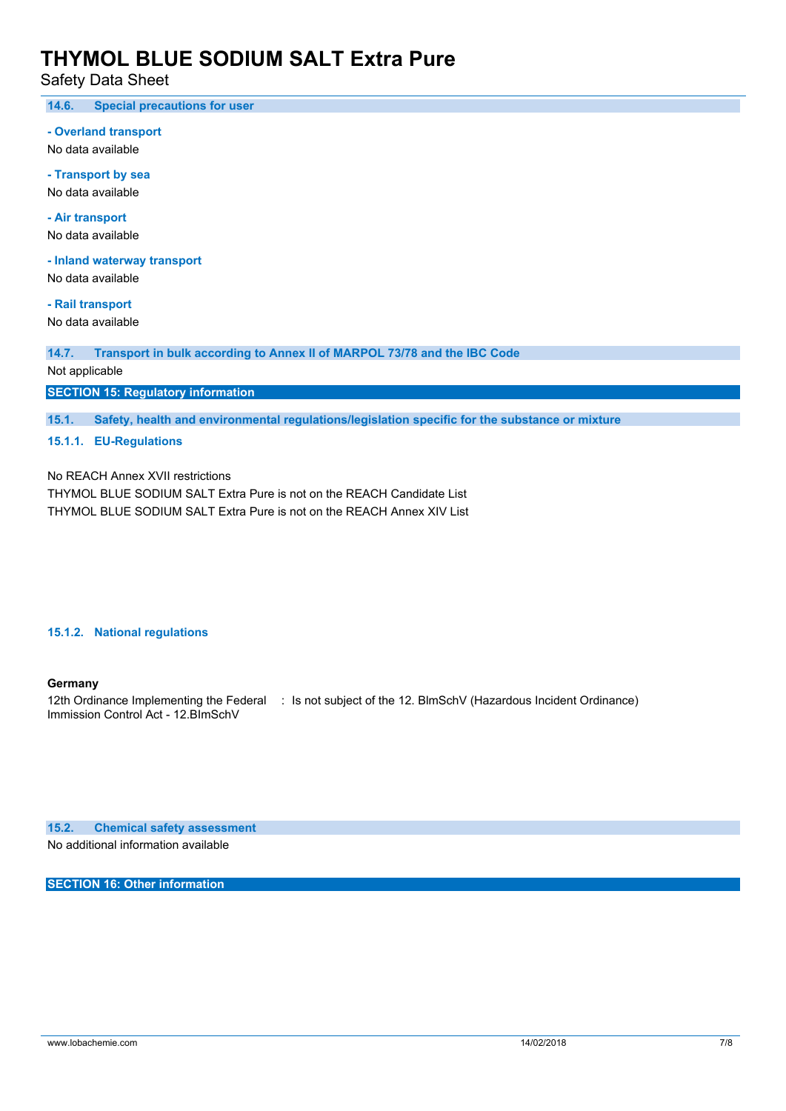Safety Data Sheet

**14.6. Special precautions for user**

**- Overland transport**

No data available

**- Transport by sea** No data available

**- Air transport** No data available

**- Inland waterway transport**

No data available

**- Rail transport** No data available

**14.7. Transport in bulk according to Annex II of MARPOL 73/78 and the IBC Code**

Not applicable

**SECTION 15: Regulatory information**

**15.1. Safety, health and environmental regulations/legislation specific for the substance or mixture**

**15.1.1. EU-Regulations**

No REACH Annex XVII restrictions

THYMOL BLUE SODIUM SALT Extra Pure is not on the REACH Candidate List THYMOL BLUE SODIUM SALT Extra Pure is not on the REACH Annex XIV List

#### **15.1.2. National regulations**

### **Germany**

12th Ordinance Implementing the Federal : Is not subject of the 12. BlmSchV (Hazardous Incident Ordinance) Immission Control Act - 12.BImSchV

**15.2. Chemical safety assessment**

No additional information available

**SECTION 16: Other information**